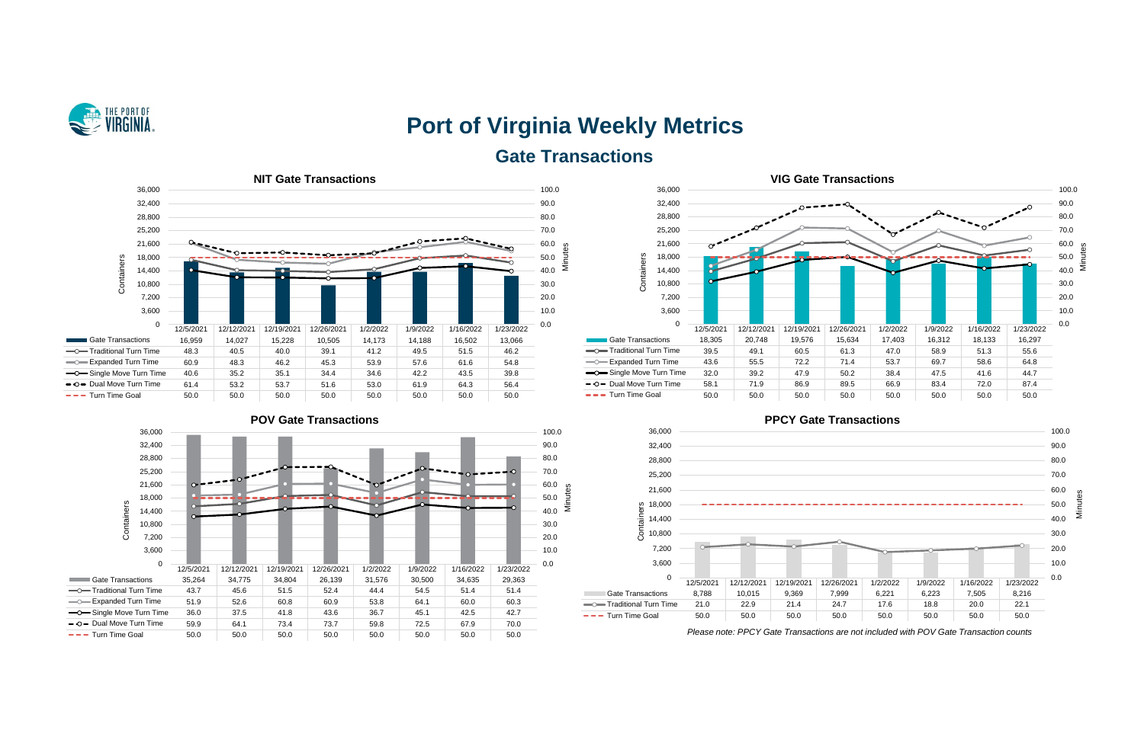

# **Port of Virginia Weekly Metrics Gate Transactions**

**Contract** 











*Please note: PPCY Gate Transactions are not included with POV Gate Transaction counts*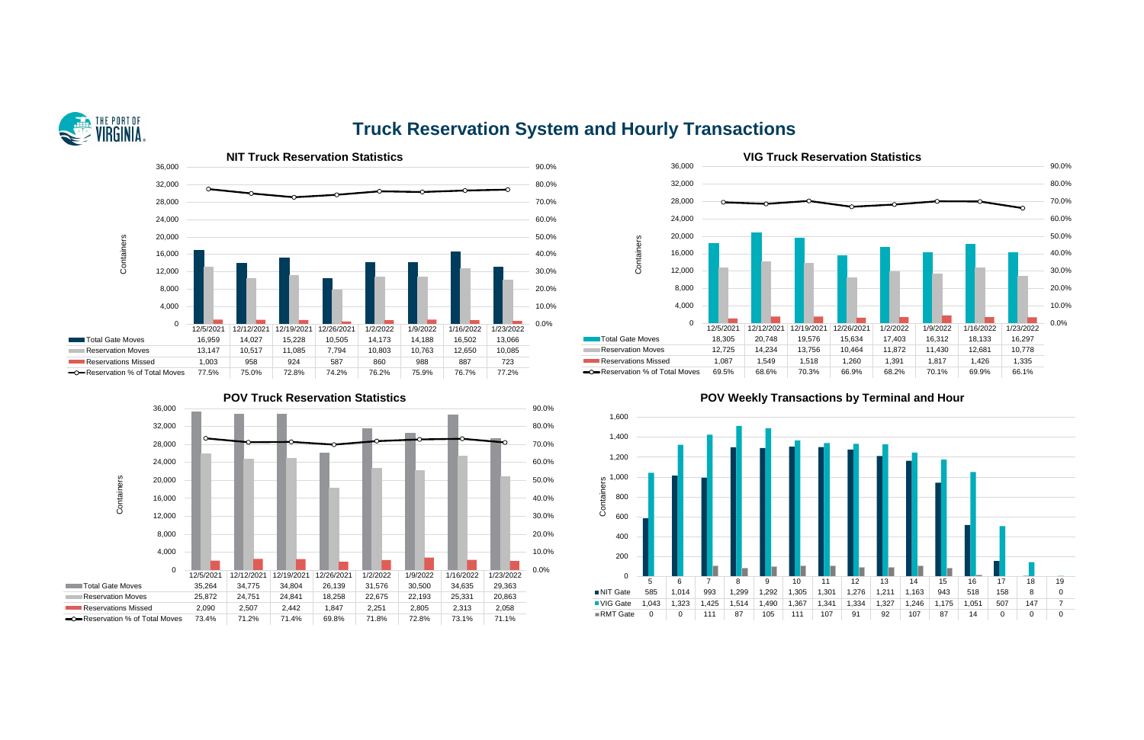

# **Truck Reservation System and Hourly Transactions**







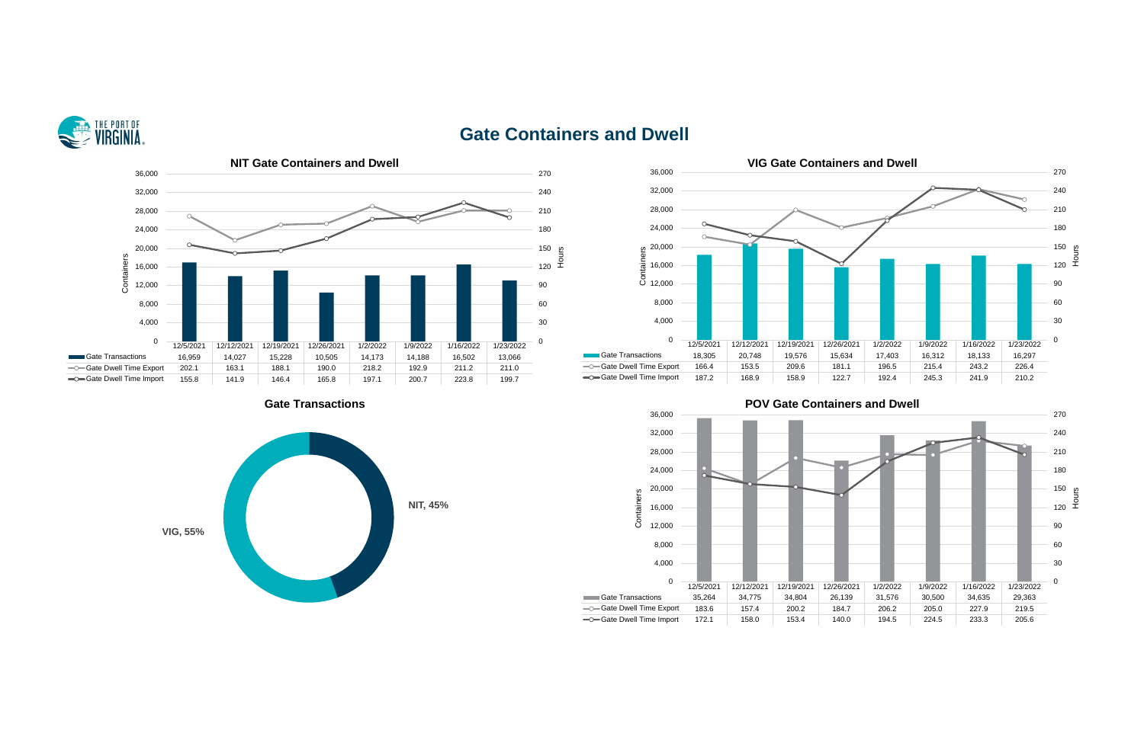

# **Gate Containers and Dwell**







# **Cate Transactions Gate Containers and Dwell**